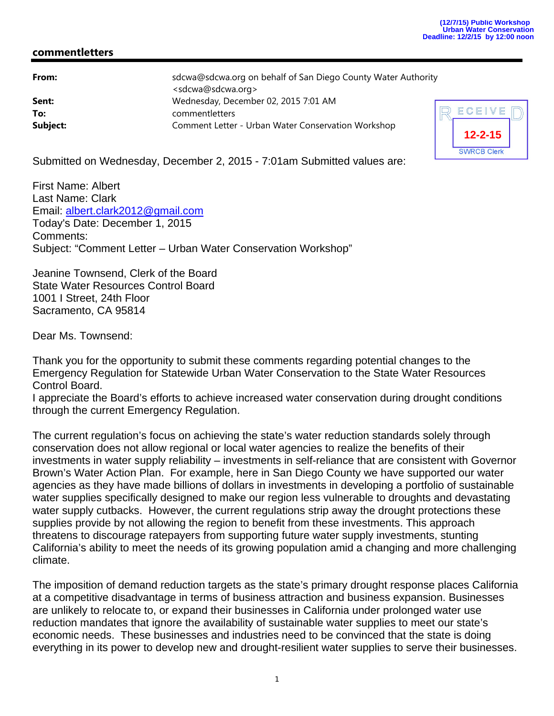## **commentletters**

| From:    | sdcwa@sdcwa.org on behalf of San Diego County Water Authority |  |
|----------|---------------------------------------------------------------|--|
|          | <sdcwa@sdcwa.org></sdcwa@sdcwa.org>                           |  |
| Sent:    | Wednesday, December 02, 2015 7:01 AM                          |  |
| To:      | commentletters                                                |  |
| Subject: | Comment Letter - Urban Water Conservation Workshop            |  |



Submitted on Wednesday, December 2, 2015 - 7:01am Submitted values are:

First Name: Albert Last Name: Clark Email: albert.clark2012@gmail.com Today's Date: December 1, 2015 Comments: Subject: "Comment Letter – Urban Water Conservation Workshop"

Jeanine Townsend, Clerk of the Board State Water Resources Control Board 1001 I Street, 24th Floor Sacramento, CA 95814

Dear Ms. Townsend:

Thank you for the opportunity to submit these comments regarding potential changes to the Emergency Regulation for Statewide Urban Water Conservation to the State Water Resources Control Board.

I appreciate the Board's efforts to achieve increased water conservation during drought conditions through the current Emergency Regulation.

The current regulation's focus on achieving the state's water reduction standards solely through conservation does not allow regional or local water agencies to realize the benefits of their investments in water supply reliability – investments in self-reliance that are consistent with Governor Brown's Water Action Plan. For example, here in San Diego County we have supported our water agencies as they have made billions of dollars in investments in developing a portfolio of sustainable water supplies specifically designed to make our region less vulnerable to droughts and devastating water supply cutbacks. However, the current regulations strip away the drought protections these supplies provide by not allowing the region to benefit from these investments. This approach threatens to discourage ratepayers from supporting future water supply investments, stunting California's ability to meet the needs of its growing population amid a changing and more challenging climate.

The imposition of demand reduction targets as the state's primary drought response places California at a competitive disadvantage in terms of business attraction and business expansion. Businesses are unlikely to relocate to, or expand their businesses in California under prolonged water use reduction mandates that ignore the availability of sustainable water supplies to meet our state's economic needs. These businesses and industries need to be convinced that the state is doing everything in its power to develop new and drought-resilient water supplies to serve their businesses.